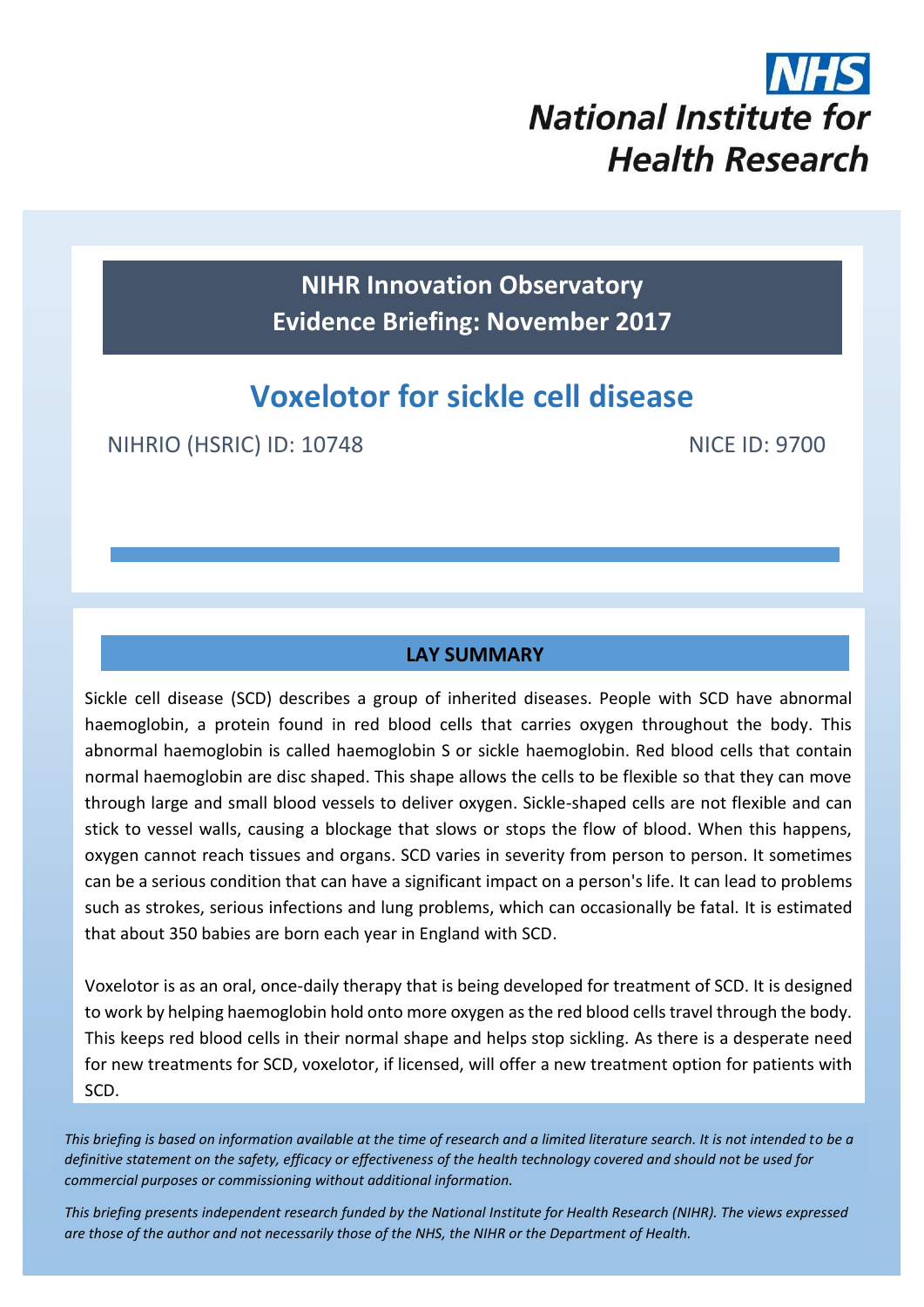# **National Institute for Health Research**

**NIHR Innovation Observatory Evidence Briefing: November 2017**

# **Voxelotor for sickle cell disease**

NIHRIO (HSRIC) ID: 10748 NICE ID: 9700

## **LAY SUMMARY**

Sickle cell disease (SCD) describes a group of inherited diseases. People with SCD have abnormal haemoglobin, a protein found in red blood cells that carries oxygen throughout the body. This abnormal haemoglobin is called haemoglobin S or sickle haemoglobin. Red blood cells that contain normal haemoglobin are disc shaped. This shape allows the cells to be flexible so that they can move through large and small blood vessels to deliver oxygen. Sickle-shaped cells are not flexible and can stick to vessel walls, causing a blockage that slows or stops the flow of blood. When this happens, oxygen cannot reach tissues and organs. SCD varies in severity from person to person. It sometimes can be a serious condition that can have a significant impact on a person's life. It can lead to problems such as strokes, serious infections and lung problems, which can occasionally be fatal. It is estimated that about 350 babies are born each year in England with SCD.

Voxelotor is as an oral, once-daily therapy that is being developed for treatment of SCD. It is designed to work by helping haemoglobin hold onto more oxygen as the red blood cells travel through the body. This keeps red blood cells in their normal shape and helps stop sickling. As there is a desperate need for new treatments for SCD, voxelotor, if licensed, will offer a new treatment option for patients with SCD.

*This briefing is based on information available at the time of research and a limited literature search. It is not intended to be a definitive statement on the safety, efficacy or effectiveness of the health technology covered and should not be used for commercial purposes or commissioning without additional information.*

1 *This briefing presents independent research funded by the National Institute for Health Research (NIHR). The views expressed are those of the author and not necessarily those of the NHS, the NIHR or the Department of Health.*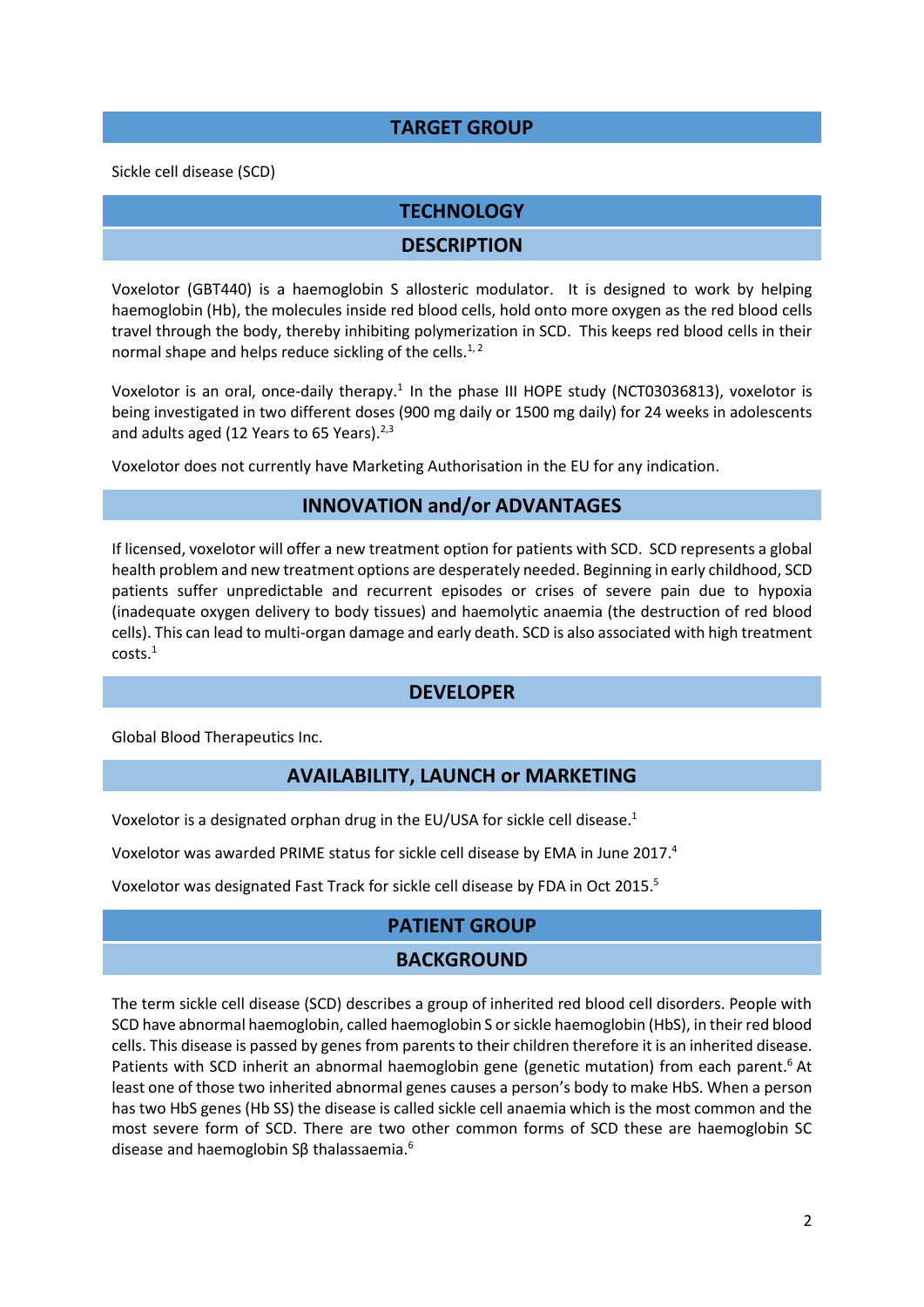# **TARGET GROUP**

Sickle cell disease (SCD)

# **TECHNOLOGY**

#### <span id="page-1-1"></span><span id="page-1-0"></span>**DESCRIPTION**

Voxelotor (GBT440) is a haemoglobin S allosteric modulator. It is designed to work by helping haemoglobin (Hb), the molecules inside red blood cells, hold onto more oxygen as the red blood cells travel through the body, thereby inhibiting polymerization in SCD. This keeps red blood cells in their normal shape and helps reduce sickling of the cells.<sup>1,2</sup>

Voxelotor is an oral, once-daily therapy.<sup>[1](#page-1-0)</sup> In the phase III HOPE study (NCT03036813), voxelotor is being investigated in two different doses (900 mg daily or 1500 mg daily) for 24 weeks in adolescents and adults aged (12 Years to 65 Years). $2,3$ 

Voxelotor does not currently have Marketing Authorisation in the EU for any indication.

# <span id="page-1-3"></span>**INNOVATION and/or ADVANTAGES**

If licensed, voxelotor will offer a new treatment option for patients with SCD. SCD represents a global health problem and new treatment options are desperately needed. Beginning in early childhood, SCD patients suffer unpredictable and recurrent episodes or crises of severe pain due to hypoxia (inadequate oxygen delivery to body tissues) and haemolytic anaemia (the destruction of red blood cells). This can lead to multi-organ damage and early death. SCD is also associated with high treatment costs[.](#page-1-0)<sup>1</sup>

#### **DEVELOPER**

Global Blood Therapeutics Inc.

## **AVAILABILITY, LAUNCH or MARKETING**

Voxelotor is a designated orphan drug in the EU/USA for sickle cell disease.<sup>[1](#page-1-0)</sup>

Voxelotor was awarded PRIME status for sickle cell disease by EMA in June 2017. 4

Voxelotor was designated Fast Track for sickle cell disease by FDA in Oct 2015. 5

## **PATIENT GROUP**

#### <span id="page-1-2"></span>**BACKGROUND**

The term sickle cell disease (SCD) describes a group of inherited red blood cell disorders. People with SCD have abnormal haemoglobin, called haemoglobin S or sickle haemoglobin (HbS), in their red blood cells. This disease is passed by genes from parents to their children therefore it is an inherited disease. Patients with SCD inherit an abnormal haemoglobin gene (genetic mutation) from each parent.<sup>6</sup> At least one of those two inherited abnormal genes causes a person's body to make HbS. When a person has two HbS genes (Hb SS) the disease is called sickle cell anaemia which is the most common and the most severe form of SCD. There are two other common forms of SCD these are haemoglobin SC disease and haemoglobin Sβ thalassaemi[a.](#page-1-2)<sup>6</sup>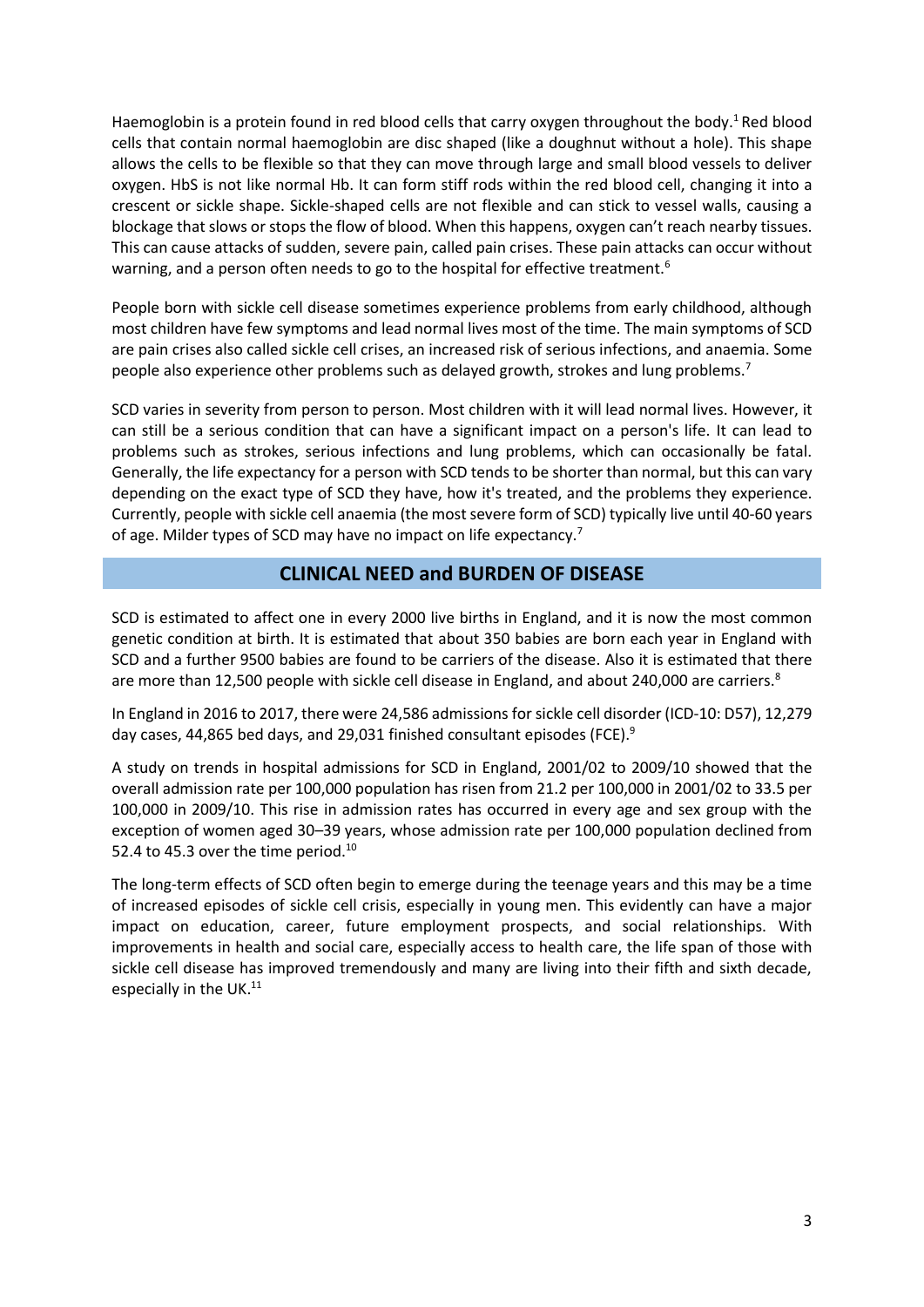Haemoglobin is a protein found in red blood cells that carry oxygen throughout the body[.](#page-1-0)<sup>1</sup> Red blood cells that contain normal haemoglobin are disc shaped (like a doughnut without a hole). This shape allows the cells to be flexible so that they can move through large and small blood vessels to deliver oxygen. HbS is not like normal Hb. It can form stiff rods within the red blood cell, changing it into a crescent or sickle shape. Sickle-shaped cells are not flexible and can stick to vessel walls, causing a blockage that slows or stops the flow of blood. When this happens, oxygen can't reach nearby tissues. This can cause attacks of sudden, severe pain, called pain crises. These pain attacks can occur without warning, and a person often needs to go to the hospital for effective treatment[.](#page-1-2)<sup>6</sup>

People born with sickle cell disease sometimes experience problems from early childhood, although most children have few symptoms and lead normal lives most of the time. The main symptoms of SCD are pain crises also called sickle cell crises, an increased risk of serious infections, and anaemia. Some people also experience other problems such as delayed growth, strokes and lung problems.<sup>7</sup>

SCD varies in severity from person to person. Most children with it will lead normal lives. However, it can still be a serious condition that can have a significant impact on a person's life. It can lead to problems such as strokes, serious infections and lung problems, which can occasionally be fatal. Generally, the life expectancy for a person with SCD tends to be shorter than normal, but this can vary depending on the exact type of SCD they have, how it's treated, and the problems they experience. Currently, people with sickle cell anaemia (the most severe form of SCD) typically live until 40-60 years of age. Milder types of SCD may have no impact on life expectancy.<sup>[7](#page-2-0)</sup>

## <span id="page-2-0"></span>**CLINICAL NEED and BURDEN OF DISEASE**

SCD is estimated to affect one in every 2000 live births in England, and it is now the most common genetic condition at birth. It is estimated that about 350 babies are born each year in England with SCD and a further 9500 babies are found to be carriers of the disease. Also it is estimated that there are more than 12,500 people with sickle cell disease in England, and about 240,000 are carriers.<sup>8</sup>

In England in 2016 to 2017, there were 24,586 admissions for sickle cell disorder (ICD-10: D57), 12,279 day cases, 44,865 bed days, and 29,031 finished consultant episodes (FCE).<sup>9</sup>

A study on trends in hospital admissions for SCD in England, 2001/02 to 2009/10 showed that the overall admission rate per 100,000 population has risen from 21.2 per 100,000 in 2001/02 to 33.5 per 100,000 in 2009/10. This rise in admission rates has occurred in every age and sex group with the exception of women aged 30–39 years, whose admission rate per 100,000 population declined from 52.4 to 45.3 over the time period.<sup>10</sup>

The long-term effects of SCD often begin to emerge during the teenage years and this may be a time of increased episodes of sickle cell crisis, especially in young men. This evidently can have a major impact on education, career, future employment prospects, and social relationships. With improvements in health and social care, especially access to health care, the life span of those with sickle cell disease has improved tremendously and many are living into their fifth and sixth decade, especially in the UK.<sup>11</sup>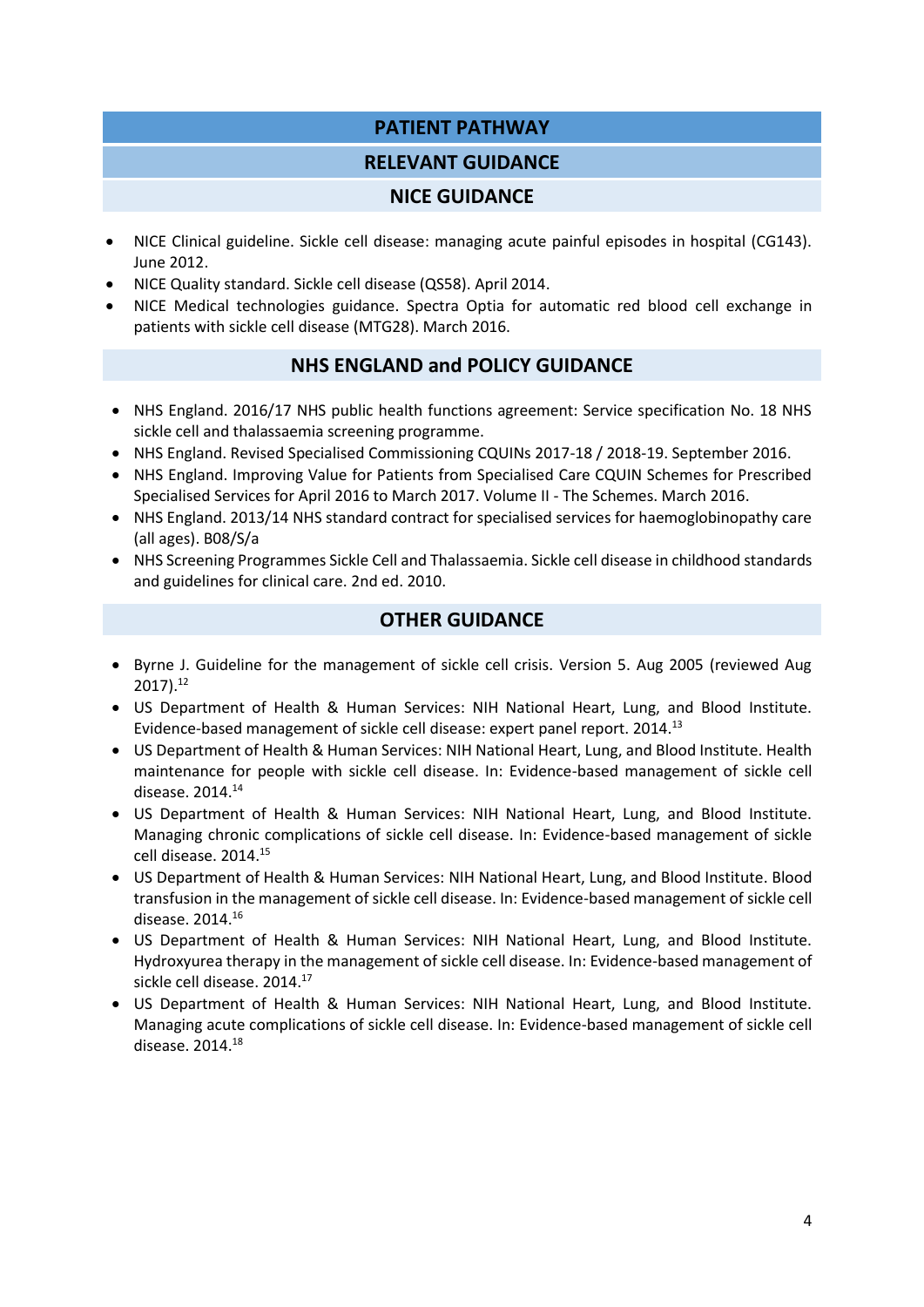# **PATIENT PATHWAY**

# **RELEVANT GUIDANCE**

# **NICE GUIDANCE**

- NICE Clinical guideline. Sickle cell disease: managing acute painful episodes in hospital (CG143). June 2012.
- NICE Quality standard. Sickle cell disease (QS58). April 2014.
- NICE Medical technologies guidance. Spectra Optia for automatic red blood cell exchange in patients with sickle cell disease (MTG28). March 2016.

# **NHS ENGLAND and POLICY GUIDANCE**

- NHS England. 2016/17 NHS public health functions agreement: Service specification No. 18 NHS sickle cell and thalassaemia screening programme.
- NHS England. Revised Specialised Commissioning CQUINs 2017-18 / 2018-19. September 2016.
- NHS England. Improving Value for Patients from Specialised Care CQUIN Schemes for Prescribed Specialised Services for April 2016 to March 2017. Volume II - The Schemes. March 2016.
- NHS England. 2013/14 NHS standard contract for specialised services for haemoglobinopathy care (all ages). B08/S/a
- NHS Screening Programmes Sickle Cell and Thalassaemia. Sickle cell disease in childhood standards and guidelines for clinical care. 2nd ed. 2010.

# **OTHER GUIDANCE**

- Byrne J. Guideline for the management of sickle cell crisis. Version 5. Aug 2005 (reviewed Aug 2017).<sup>12</sup>
- US Department of Health & Human Services: NIH National Heart, Lung, and Blood Institute. Evidence-based management of sickle cell disease: expert panel report. 2014.<sup>13</sup>
- US Department of Health & Human Services: NIH National Heart, Lung, and Blood Institute. Health maintenance for people with sickle cell disease. In: Evidence-based management of sickle cell disease. 2014.<sup>14</sup>
- US Department of Health & Human Services: NIH National Heart, Lung, and Blood Institute. Managing chronic complications of sickle cell disease. In: Evidence-based management of sickle cell disease. 2014.<sup>15</sup>
- US Department of Health & Human Services: NIH National Heart, Lung, and Blood Institute. Blood transfusion in the management of sickle cell disease. In: Evidence-based management of sickle cell disease. 2014.<sup>16</sup>
- US Department of Health & Human Services: NIH National Heart, Lung, and Blood Institute. Hydroxyurea therapy in the management of sickle cell disease. In: Evidence-based management of sickle cell disease. 2014.<sup>17</sup>
- US Department of Health & Human Services: NIH National Heart, Lung, and Blood Institute. Managing acute complications of sickle cell disease. In: Evidence-based management of sickle cell disease. 2014.18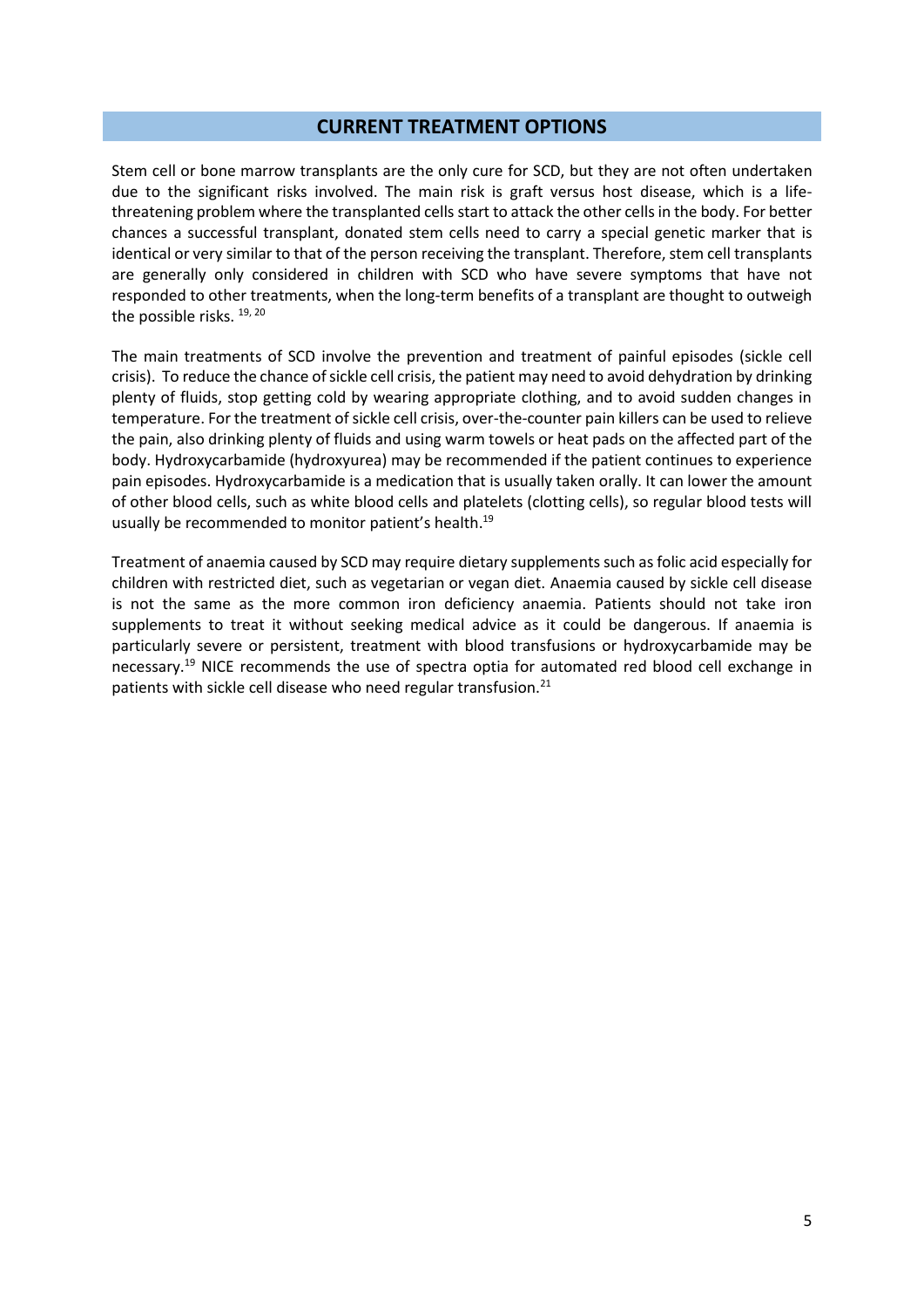#### **CURRENT TREATMENT OPTIONS**

Stem cell or bone marrow transplants are the only cure for SCD, but they are not often undertaken due to the significant risks involved. The main risk is graft versus host disease, which is a lifethreatening problem where the transplanted cells start to attack the other cells in the body. For better chances a successful transplant, donated stem cells need to carry a special genetic marker that is identical or very similar to that of the person receiving the transplant. Therefore, stem cell transplants are generally only considered in children with SCD who have severe symptoms that have not responded to other treatments, when the long-term benefits of a transplant are thought to outweigh the possible risks. 19, 20

<span id="page-4-0"></span>The main treatments of SCD involve the prevention and treatment of painful episodes (sickle cell crisis). To reduce the chance of sickle cell crisis, the patient may need to avoid dehydration by drinking plenty of fluids, stop getting cold by wearing appropriate clothing, and to avoid sudden changes in temperature. For the treatment of sickle cell crisis, over-the-counter pain killers can be used to relieve the pain, also drinking plenty of fluids and using warm towels or heat pads on the affected part of the body. Hydroxycarbamide (hydroxyurea) may be recommended if the patient continues to experience pain episodes. Hydroxycarbamide is a medication that is usually taken orally. It can lower the amount of other blood cells, such as white blood cells and platelets (clotting cells), so regular blood tests will usually be recommended to monitor patient's health.<sup>[19](#page-4-0)</sup>

Treatment of anaemia caused by SCD may require dietary supplements such as folic acid especially for children with restricted diet, such as vegetarian or vegan diet. Anaemia caused by sickle cell disease is not the same as the more common iron deficiency anaemia. Patients should not take iron supplements to treat it without seeking medical advice as it could be dangerous. If anaemia is particularly severe or persistent, treatment with blood transfusions or hydroxycarbamide may be necessary.[19](#page-4-0) NICE recommends the use of spectra optia for automated red blood cell exchange in patients with sickle cell disease who need regular transfusion.<sup>21</sup>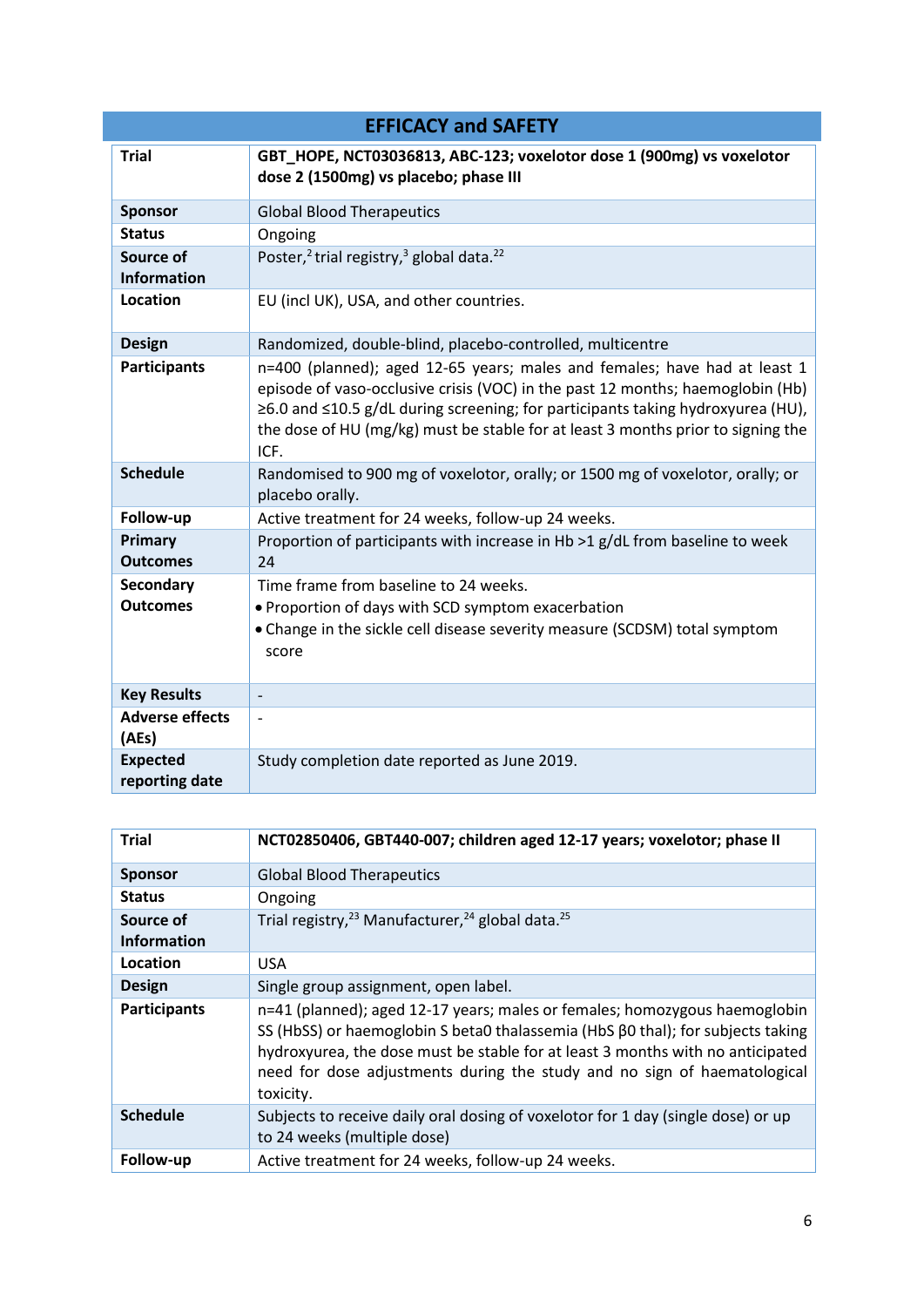| <b>EFFICACY and SAFETY</b>        |                                                                                                                                                                                                                                                                                                                                            |  |  |  |
|-----------------------------------|--------------------------------------------------------------------------------------------------------------------------------------------------------------------------------------------------------------------------------------------------------------------------------------------------------------------------------------------|--|--|--|
| <b>Trial</b>                      | GBT_HOPE, NCT03036813, ABC-123; voxelotor dose 1 (900mg) vs voxelotor<br>dose 2 (1500mg) vs placebo; phase III                                                                                                                                                                                                                             |  |  |  |
| <b>Sponsor</b>                    | <b>Global Blood Therapeutics</b>                                                                                                                                                                                                                                                                                                           |  |  |  |
| <b>Status</b>                     | Ongoing                                                                                                                                                                                                                                                                                                                                    |  |  |  |
| Source of<br><b>Information</b>   | Poster, <sup>2</sup> trial registry, <sup>3</sup> global data. <sup>22</sup>                                                                                                                                                                                                                                                               |  |  |  |
| Location                          | EU (incl UK), USA, and other countries.                                                                                                                                                                                                                                                                                                    |  |  |  |
| <b>Design</b>                     | Randomized, double-blind, placebo-controlled, multicentre                                                                                                                                                                                                                                                                                  |  |  |  |
| <b>Participants</b>               | n=400 (planned); aged 12-65 years; males and females; have had at least 1<br>episode of vaso-occlusive crisis (VOC) in the past 12 months; haemoglobin (Hb)<br>≥6.0 and ≤10.5 g/dL during screening; for participants taking hydroxyurea (HU),<br>the dose of HU (mg/kg) must be stable for at least 3 months prior to signing the<br>ICF. |  |  |  |
| <b>Schedule</b>                   | Randomised to 900 mg of voxelotor, orally; or 1500 mg of voxelotor, orally; or<br>placebo orally.                                                                                                                                                                                                                                          |  |  |  |
| Follow-up                         | Active treatment for 24 weeks, follow-up 24 weeks.                                                                                                                                                                                                                                                                                         |  |  |  |
| Primary<br><b>Outcomes</b>        | Proportion of participants with increase in Hb >1 g/dL from baseline to week<br>24                                                                                                                                                                                                                                                         |  |  |  |
| Secondary<br><b>Outcomes</b>      | Time frame from baseline to 24 weeks.<br>• Proportion of days with SCD symptom exacerbation<br>• Change in the sickle cell disease severity measure (SCDSM) total symptom<br>score                                                                                                                                                         |  |  |  |
| <b>Key Results</b>                |                                                                                                                                                                                                                                                                                                                                            |  |  |  |
| <b>Adverse effects</b><br>(AEs)   | $\overline{a}$                                                                                                                                                                                                                                                                                                                             |  |  |  |
| <b>Expected</b><br>reporting date | Study completion date reported as June 2019.                                                                                                                                                                                                                                                                                               |  |  |  |

| <b>Trial</b>        | NCT02850406, GBT440-007; children aged 12-17 years; voxelotor; phase II                                                                                                                                                                                                                                                                  |  |  |  |  |
|---------------------|------------------------------------------------------------------------------------------------------------------------------------------------------------------------------------------------------------------------------------------------------------------------------------------------------------------------------------------|--|--|--|--|
| <b>Sponsor</b>      | <b>Global Blood Therapeutics</b>                                                                                                                                                                                                                                                                                                         |  |  |  |  |
| <b>Status</b>       | Ongoing                                                                                                                                                                                                                                                                                                                                  |  |  |  |  |
| Source of           | Trial registry, <sup>23</sup> Manufacturer, <sup>24</sup> global data. <sup>25</sup>                                                                                                                                                                                                                                                     |  |  |  |  |
| <b>Information</b>  |                                                                                                                                                                                                                                                                                                                                          |  |  |  |  |
| Location            | <b>USA</b>                                                                                                                                                                                                                                                                                                                               |  |  |  |  |
| <b>Design</b>       | Single group assignment, open label.                                                                                                                                                                                                                                                                                                     |  |  |  |  |
| <b>Participants</b> | n=41 (planned); aged 12-17 years; males or females; homozygous haemoglobin<br>SS (HbSS) or haemoglobin S beta0 thalassemia (HbS β0 thal); for subjects taking<br>hydroxyurea, the dose must be stable for at least 3 months with no anticipated<br>need for dose adjustments during the study and no sign of haematological<br>toxicity. |  |  |  |  |
| <b>Schedule</b>     | Subjects to receive daily oral dosing of voxelotor for 1 day (single dose) or up<br>to 24 weeks (multiple dose)                                                                                                                                                                                                                          |  |  |  |  |
| Follow-up           | Active treatment for 24 weeks, follow-up 24 weeks.                                                                                                                                                                                                                                                                                       |  |  |  |  |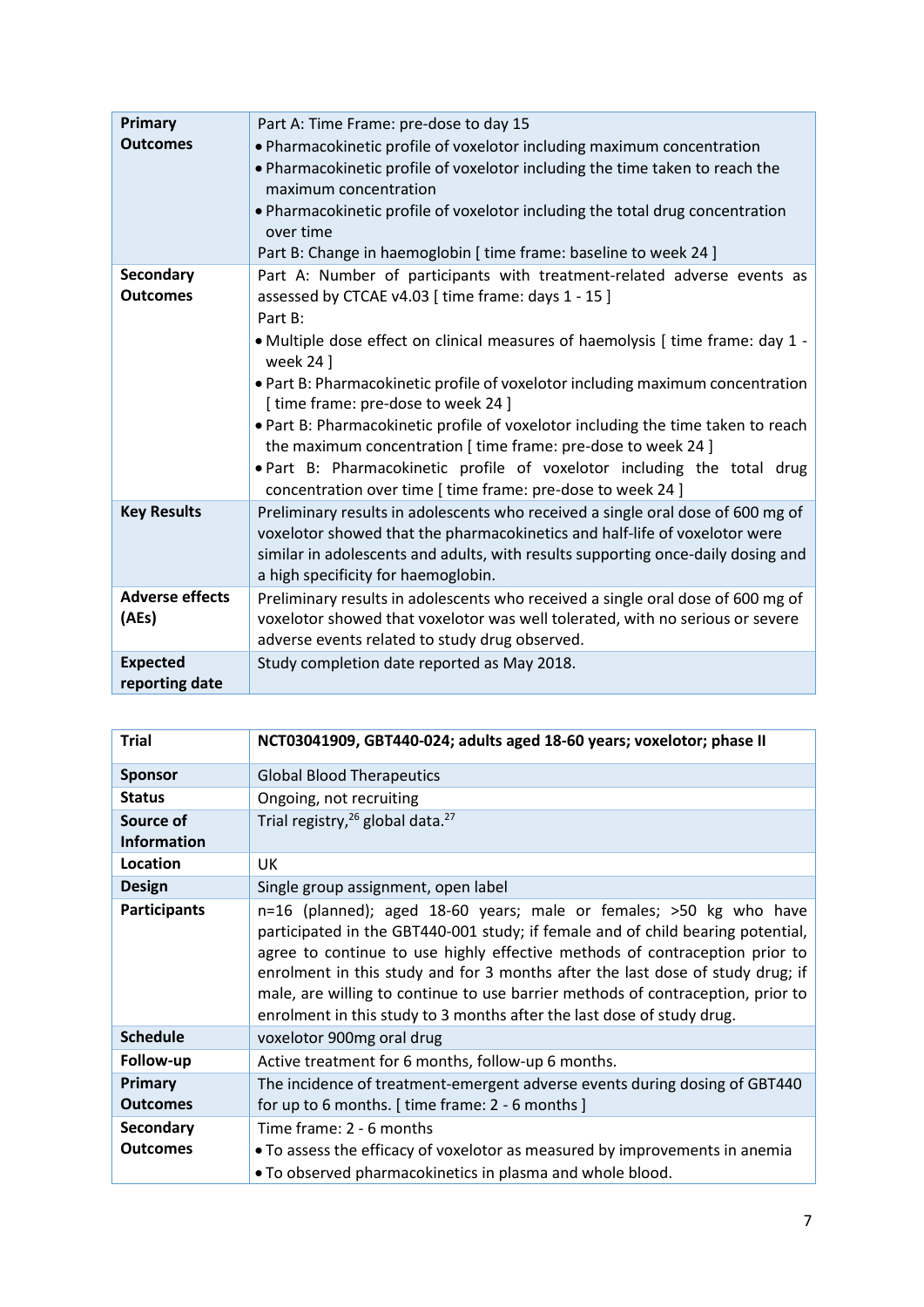| Primary                | Part A: Time Frame: pre-dose to day 15                                                      |  |  |  |
|------------------------|---------------------------------------------------------------------------------------------|--|--|--|
| <b>Outcomes</b>        | • Pharmacokinetic profile of voxelotor including maximum concentration                      |  |  |  |
|                        | . Pharmacokinetic profile of voxelotor including the time taken to reach the                |  |  |  |
|                        | maximum concentration                                                                       |  |  |  |
|                        | • Pharmacokinetic profile of voxelotor including the total drug concentration               |  |  |  |
|                        | over time                                                                                   |  |  |  |
|                        | Part B: Change in haemoglobin [ time frame: baseline to week 24 ]                           |  |  |  |
| <b>Secondary</b>       | Part A: Number of participants with treatment-related adverse events as                     |  |  |  |
| <b>Outcomes</b>        |                                                                                             |  |  |  |
|                        | assessed by CTCAE v4.03 [time frame: days 1 - 15]                                           |  |  |  |
|                        | Part B:                                                                                     |  |  |  |
|                        | • Multiple dose effect on clinical measures of haemolysis [time frame: day 1 -<br>week 24 ] |  |  |  |
|                        | • Part B: Pharmacokinetic profile of voxelotor including maximum concentration              |  |  |  |
|                        | [time frame: pre-dose to week 24]                                                           |  |  |  |
|                        | • Part B: Pharmacokinetic profile of voxelotor including the time taken to reach            |  |  |  |
|                        | the maximum concentration [time frame: pre-dose to week 24]                                 |  |  |  |
|                        | . Part B: Pharmacokinetic profile of voxelotor including the total drug                     |  |  |  |
|                        | concentration over time [ time frame: pre-dose to week 24 ]                                 |  |  |  |
| <b>Key Results</b>     | Preliminary results in adolescents who received a single oral dose of 600 mg of             |  |  |  |
|                        | voxelotor showed that the pharmacokinetics and half-life of voxelotor were                  |  |  |  |
|                        | similar in adolescents and adults, with results supporting once-daily dosing and            |  |  |  |
|                        | a high specificity for haemoglobin.                                                         |  |  |  |
| <b>Adverse effects</b> | Preliminary results in adolescents who received a single oral dose of 600 mg of             |  |  |  |
| (AEs)                  | voxelotor showed that voxelotor was well tolerated, with no serious or severe               |  |  |  |
|                        | adverse events related to study drug observed.                                              |  |  |  |
| <b>Expected</b>        | Study completion date reported as May 2018.                                                 |  |  |  |
| reporting date         |                                                                                             |  |  |  |
|                        |                                                                                             |  |  |  |

| <b>Trial</b>        | NCT03041909, GBT440-024; adults aged 18-60 years; voxelotor; phase II                                                                                                                                                                                                                                                                                                                                                                                                               |  |  |  |
|---------------------|-------------------------------------------------------------------------------------------------------------------------------------------------------------------------------------------------------------------------------------------------------------------------------------------------------------------------------------------------------------------------------------------------------------------------------------------------------------------------------------|--|--|--|
| <b>Sponsor</b>      | <b>Global Blood Therapeutics</b>                                                                                                                                                                                                                                                                                                                                                                                                                                                    |  |  |  |
| <b>Status</b>       | Ongoing, not recruiting                                                                                                                                                                                                                                                                                                                                                                                                                                                             |  |  |  |
| Source of           | Trial registry, <sup>26</sup> global data. <sup>27</sup>                                                                                                                                                                                                                                                                                                                                                                                                                            |  |  |  |
| <b>Information</b>  |                                                                                                                                                                                                                                                                                                                                                                                                                                                                                     |  |  |  |
| Location            | UK                                                                                                                                                                                                                                                                                                                                                                                                                                                                                  |  |  |  |
| <b>Design</b>       | Single group assignment, open label                                                                                                                                                                                                                                                                                                                                                                                                                                                 |  |  |  |
| <b>Participants</b> | n=16 (planned); aged 18-60 years; male or females; >50 kg who have<br>participated in the GBT440-001 study; if female and of child bearing potential,<br>agree to continue to use highly effective methods of contraception prior to<br>enrolment in this study and for 3 months after the last dose of study drug; if<br>male, are willing to continue to use barrier methods of contraception, prior to<br>enrolment in this study to 3 months after the last dose of study drug. |  |  |  |
| <b>Schedule</b>     | voxelotor 900mg oral drug                                                                                                                                                                                                                                                                                                                                                                                                                                                           |  |  |  |
| Follow-up           | Active treatment for 6 months, follow-up 6 months.                                                                                                                                                                                                                                                                                                                                                                                                                                  |  |  |  |
| Primary             | The incidence of treatment-emergent adverse events during dosing of GBT440                                                                                                                                                                                                                                                                                                                                                                                                          |  |  |  |
| <b>Outcomes</b>     | for up to 6 months. [time frame: 2 - 6 months]                                                                                                                                                                                                                                                                                                                                                                                                                                      |  |  |  |
| Secondary           | Time frame: 2 - 6 months                                                                                                                                                                                                                                                                                                                                                                                                                                                            |  |  |  |
| <b>Outcomes</b>     | • To assess the efficacy of voxelotor as measured by improvements in anemia                                                                                                                                                                                                                                                                                                                                                                                                         |  |  |  |
|                     | . To observed pharmacokinetics in plasma and whole blood.                                                                                                                                                                                                                                                                                                                                                                                                                           |  |  |  |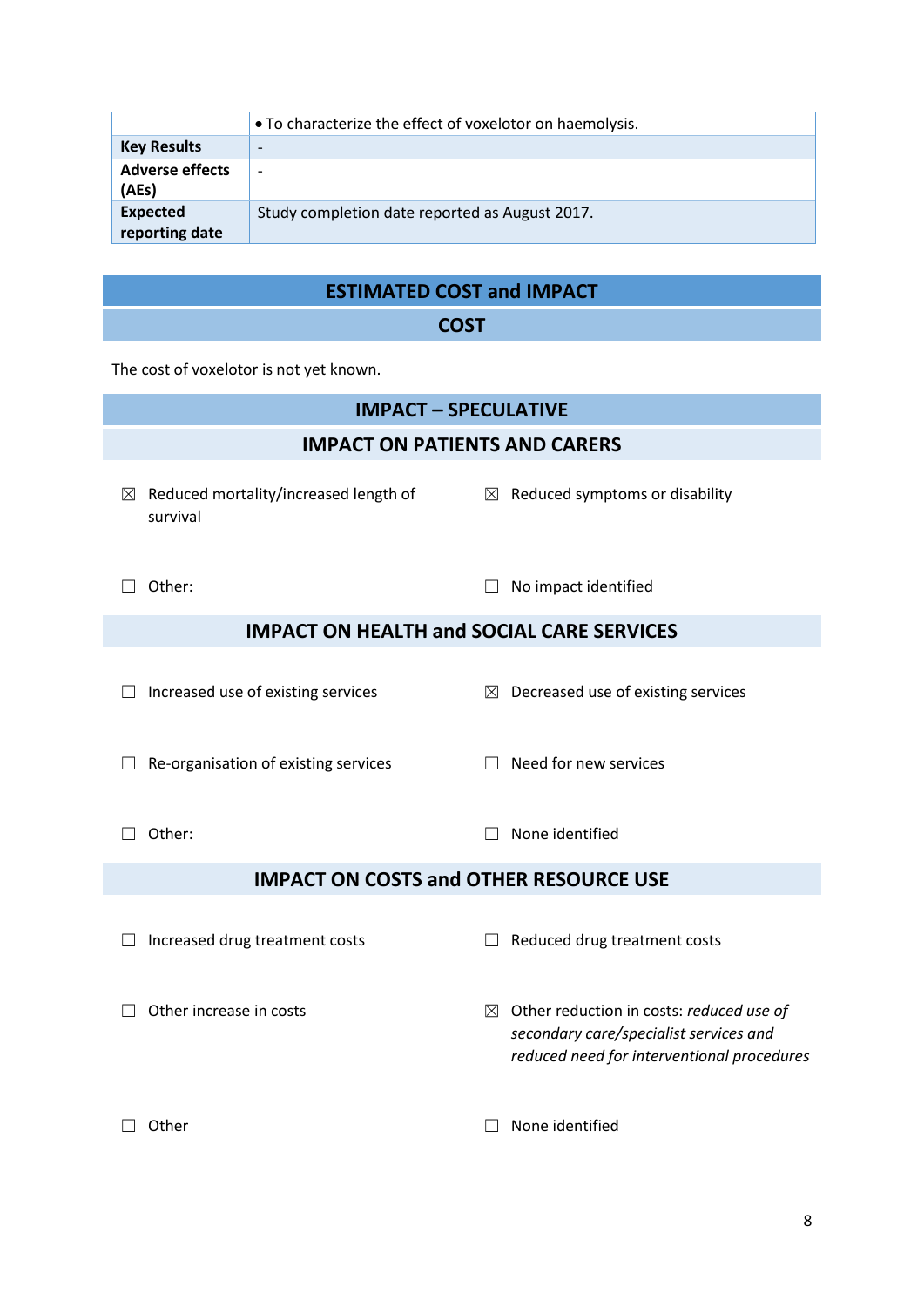|                                   | • To characterize the effect of voxelotor on haemolysis. |  |  |
|-----------------------------------|----------------------------------------------------------|--|--|
| <b>Key Results</b>                | $\overline{\phantom{0}}$                                 |  |  |
| <b>Adverse effects</b><br>(AEs)   | $\overline{\phantom{0}}$                                 |  |  |
| <b>Expected</b><br>reporting date | Study completion date reported as August 2017.           |  |  |

# **ESTIMATED COST and IMPACT**

# **COST**

The cost of voxelotor is not yet known.

| <b>IMPACT - SPECULATIVE</b>                      |                                                   |             |                                                                                                                                  |  |  |  |  |  |
|--------------------------------------------------|---------------------------------------------------|-------------|----------------------------------------------------------------------------------------------------------------------------------|--|--|--|--|--|
| <b>IMPACT ON PATIENTS AND CARERS</b>             |                                                   |             |                                                                                                                                  |  |  |  |  |  |
| $\boxtimes$                                      | Reduced mortality/increased length of<br>survival |             | $\boxtimes$ Reduced symptoms or disability                                                                                       |  |  |  |  |  |
|                                                  | Other:                                            |             | No impact identified                                                                                                             |  |  |  |  |  |
| <b>IMPACT ON HEALTH and SOCIAL CARE SERVICES</b> |                                                   |             |                                                                                                                                  |  |  |  |  |  |
|                                                  | Increased use of existing services                |             | $\boxtimes$ Decreased use of existing services                                                                                   |  |  |  |  |  |
|                                                  | Re-organisation of existing services              |             | Need for new services                                                                                                            |  |  |  |  |  |
|                                                  | Other:                                            |             | None identified                                                                                                                  |  |  |  |  |  |
| <b>IMPACT ON COSTS and OTHER RESOURCE USE</b>    |                                                   |             |                                                                                                                                  |  |  |  |  |  |
|                                                  | Increased drug treatment costs                    |             | Reduced drug treatment costs                                                                                                     |  |  |  |  |  |
|                                                  | Other increase in costs                           | $\boxtimes$ | Other reduction in costs: reduced use of<br>secondary care/specialist services and<br>reduced need for interventional procedures |  |  |  |  |  |
|                                                  | Other                                             |             | None identified                                                                                                                  |  |  |  |  |  |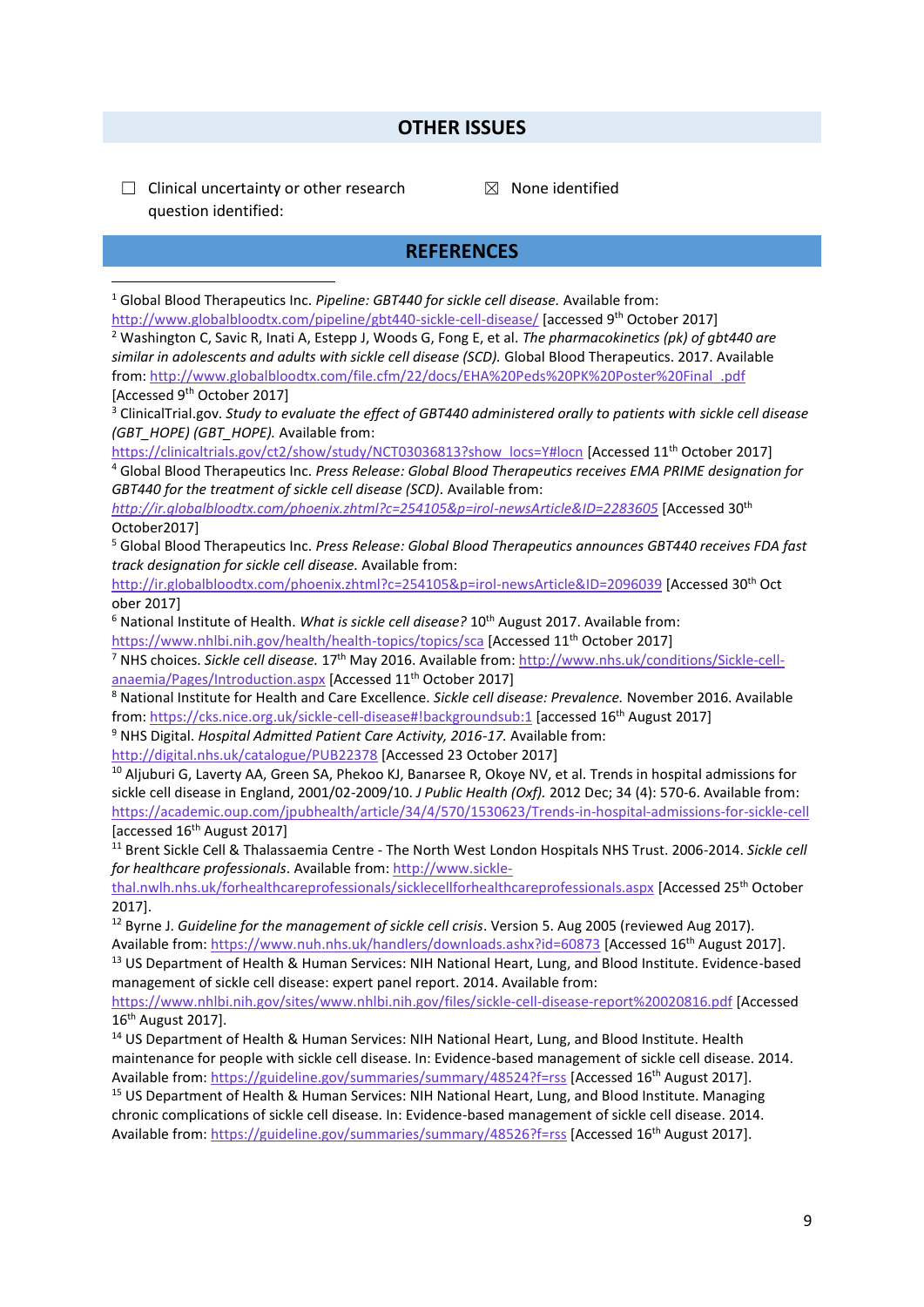## **OTHER ISSUES**

**REFERENCES**

#### $\Box$  Clinical uncertainty or other research question identified:

 $\boxtimes$  None identified

#### <sup>1</sup> Global Blood Therapeutics Inc. *Pipeline: GBT440 for sickle cell disease.* Available from: <http://www.globalbloodtx.com/pipeline/gbt440-sickle-cell-disease/> [accessed 9th October 2017] <sup>2</sup> Washington C, Savic R, Inati A, Estepp J, Woods G, Fong E, et al. *The pharmacokinetics (pk) of gbt440 are similar in adolescents and adults with sickle cell disease (SCD).* Global Blood Therapeutics. 2017. Available from[: http://www.globalbloodtx.com/file.cfm/22/docs/EHA%20Peds%20PK%20Poster%20Final\\_.pdf](http://www.globalbloodtx.com/file.cfm/22/docs/EHA%20Peds%20PK%20Poster%20Final_.pdf)  [Accessed 9th October 2017] <sup>3</sup> ClinicalTrial.gov. *Study to evaluate the effect of GBT440 administered orally to patients with sickle cell disease (GBT\_HOPE) (GBT\_HOPE).* Available from: [https://clinicaltrials.gov/ct2/show/study/NCT03036813?show\\_locs=Y#locn](https://clinicaltrials.gov/ct2/show/study/NCT03036813?show_locs=Y#locn) [Accessed 11<sup>th</sup> October 2017] <sup>4</sup> Global Blood Therapeutics Inc. *Press Release: Global Blood Therapeutics receives EMA PRIME designation for GBT440 for the treatment of sickle cell disease (SCD).* Available from: *<http://ir.globalbloodtx.com/phoenix.zhtml?c=254105&p=irol-newsArticle&ID=2283605>* [Accessed 30th October2017] <sup>5</sup> Global Blood Therapeutics Inc. *Press Release: Global Blood Therapeutics announces GBT440 receives FDA fast track designation for sickle cell disease.* Available from: <http://ir.globalbloodtx.com/phoenix.zhtml?c=254105&p=irol-newsArticle&ID=2096039> [Accessed 30th Oct ober 2017] <sup>6</sup> National Institute of Health. *What is sickle cell disease*? 10<sup>th</sup> August 2017. Available from: <https://www.nhlbi.nih.gov/health/health-topics/topics/sca> [Accessed 11th October 2017] <sup>7</sup> NHS choices. *Sickle cell disease.* 17th May 2016. Available from[: http://www.nhs.uk/conditions/Sickle-cell](http://www.nhs.uk/conditions/Sickle-cell-anaemia/Pages/Introduction.aspx)[anaemia/Pages/Introduction.aspx](http://www.nhs.uk/conditions/Sickle-cell-anaemia/Pages/Introduction.aspx) [Accessed 11th October 2017] <sup>8</sup> National Institute for Health and Care Excellence. *Sickle cell disease: Prevalence.* November 2016. Available from[: https://cks.nice.org.uk/sickle-cell-disease#!backgroundsub:1](https://cks.nice.org.uk/sickle-cell-disease#!backgroundsub:1) [accessed 16th August 2017] <sup>9</sup> NHS Digital. *Hospital Admitted Patient Care Activity, 2016-17.* Available from: <http://digital.nhs.uk/catalogue/PUB22378> [Accessed 23 October 2017] 1

<sup>10</sup> Aljuburi G, Laverty AA, Green SA, Phekoo KJ, Banarsee R, Okoye NV, et al. Trends in hospital admissions for sickle cell disease in England, 2001/02-2009/10. *J Public Health (Oxf).* 2012 Dec; 34 (4): 570-6. Available from: <https://academic.oup.com/jpubhealth/article/34/4/570/1530623/Trends-in-hospital-admissions-for-sickle-cell> [accessed 16th August 2017]

<sup>11</sup> Brent Sickle Cell & Thalassaemia Centre - The North West London Hospitals NHS Trust. 2006-2014. *Sickle cell for healthcare professionals*. Available from[: http://www.sickle-](http://www.sickle-thal.nwlh.nhs.uk/forhealthcareprofessionals/sicklecellforhealthcareprofessionals.aspx)

[thal.nwlh.nhs.uk/forhealthcareprofessionals/sicklecellforhealthcareprofessionals.aspx](http://www.sickle-thal.nwlh.nhs.uk/forhealthcareprofessionals/sicklecellforhealthcareprofessionals.aspx) [Accessed 25th October 2017].

<sup>12</sup> Byrne J. *Guideline for the management of sickle cell crisis*. Version 5. Aug 2005 (reviewed Aug 2017). Available from:<https://www.nuh.nhs.uk/handlers/downloads.ashx?id=60873> [Accessed 16th August 2017].

<sup>13</sup> US Department of Health & Human Services: NIH National Heart, Lung, and Blood Institute. Evidence-based management of sickle cell disease: expert panel report. 2014. Available from:

<https://www.nhlbi.nih.gov/sites/www.nhlbi.nih.gov/files/sickle-cell-disease-report%20020816.pdf> [Accessed 16th August 2017].

<sup>14</sup> US Department of Health & Human Services: NIH National Heart, Lung, and Blood Institute. Health maintenance for people with sickle cell disease. In: Evidence-based management of sickle cell disease. 2014. Available from:<https://guideline.gov/summaries/summary/48524?f=rss> [Accessed 16th August 2017].

<sup>15</sup> US Department of Health & Human Services: NIH National Heart, Lung, and Blood Institute. Managing chronic complications of sickle cell disease. In: Evidence-based management of sickle cell disease. 2014. Available from:<https://guideline.gov/summaries/summary/48526?f=rss> [Accessed 16th August 2017].